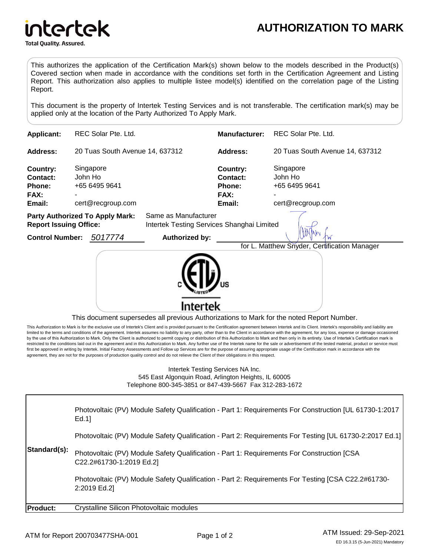

This authorizes the application of the Certification Mark(s) shown below to the models described in the Product(s) Covered section when made in accordance with the conditions set forth in the Certification Agreement and Listing Report. This authorization also applies to multiple listee model(s) identified on the correlation page of the Listing Report.

This document is the property of Intertek Testing Services and is not transferable. The certification mark(s) may be applied only at the location of the Party Authorized To Apply Mark.

| <b>Applicant:</b>                                                       | REC Solar Pte. Ltd.                                        |                                                                    | <b>Manufacturer:</b>                             | REC Solar Pte. Ltd.                                             |
|-------------------------------------------------------------------------|------------------------------------------------------------|--------------------------------------------------------------------|--------------------------------------------------|-----------------------------------------------------------------|
| Address:                                                                | 20 Tuas South Avenue 14, 637312                            |                                                                    | Address:                                         | 20 Tuas South Avenue 14, 637312                                 |
| Country:<br>Contact:<br>Phone:<br>FAX:<br>Email:                        | Singapore<br>John Ho<br>+65 6495 9641<br>cert@recgroup.com |                                                                    | Country:<br>Contact:<br>Phone:<br>FAX:<br>Email: | Singapore<br>John Ho<br>+65 6495 9641<br>۰<br>cert@recgroup.com |
| <b>Party Authorized To Apply Mark:</b><br><b>Report Issuing Office:</b> |                                                            | Same as Manufacturer<br>Intertek Testing Services Shanghai Limited |                                                  |                                                                 |
| <b>Control Number:</b>                                                  | 5017774                                                    | Authorized by:                                                     |                                                  | for L. Matthew Snyder, Certification Manager                    |



This document supersedes all previous Authorizations to Mark for the noted Report Number.

This Authorization to Mark is for the exclusive use of Intertek's Client and is provided pursuant to the Certification agreement between Intertek and its Client. Intertek's responsibility and liability are Initied to the terms and conditions of the agreement. Intertek assumes no liability to any party, other than to the Client in accordance with the agreement, for any loss, expense or damage occasioned by the use of this Authorization to Mark. Only the Client is authorized to permit copying or distribution of this Authorization to Mark and then only in its entirety. Use of Intertek's Certification mark is restricted to the conditions laid out in the agreement and in this Authorization to Mark. Any further use of the Intertek name for the sale or advertisement of the tested material, product or service must first be approved in writing by Intertek. Initial Factory Assessments and Follow up Services are for the purpose of assuring appropriate usage of the Certification mark in accordance with the agreement, they are not for the purposes of production quality control and do not relieve the Client of their obligations in this respect.

> Intertek Testing Services NA Inc. 545 East Algonquin Road, Arlington Heights, IL 60005 Telephone 800-345-3851 or 847-439-5667 Fax 312-283-1672

| Standard(s):    | Photovoltaic (PV) Module Safety Qualification - Part 1: Requirements For Construction [UL 61730-1:2017<br>Ed.1         |
|-----------------|------------------------------------------------------------------------------------------------------------------------|
|                 | Photovoltaic (PV) Module Safety Qualification - Part 2: Requirements For Testing [UL 61730-2:2017 Ed.1]                |
|                 | Photovoltaic (PV) Module Safety Qualification - Part 1: Requirements For Construction [CSA<br>C22.2#61730-1:2019 Ed.2] |
|                 | Photovoltaic (PV) Module Safety Qualification - Part 2: Requirements For Testing [CSA C22.2#61730-<br>2:2019 Ed.2]     |
| <b>Product:</b> | Crystalline Silicon Photovoltaic modules                                                                               |